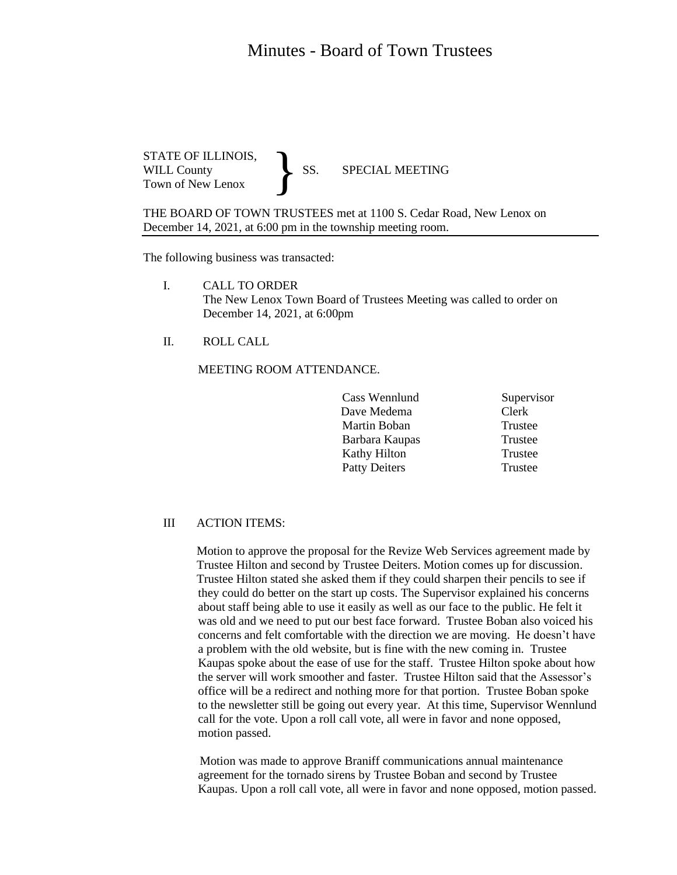## Minutes - Board of Town Trustees

STATE OF ILLINOIS,<br>WILL County SS. WILL County SS. SPECIAL MEETING Town of New Lenox }

THE BOARD OF TOWN TRUSTEES met at 1100 S. Cedar Road, New Lenox on December 14, 2021, at 6:00 pm in the township meeting room.

The following business was transacted:

- I. CALL TO ORDER The New Lenox Town Board of Trustees Meeting was called to order on December 14, 2021, at 6:00pm
- II. ROLL CALL

MEETING ROOM ATTENDANCE.

Cass Wennlund Supervisor Dave Medema Clerk Martin Boban Trustee Barbara Kaupas Trustee Kathy Hilton Trustee Patty Deiters Trustee

## III ACTION ITEMS:

 Motion to approve the proposal for the Revize Web Services agreement made by Trustee Hilton and second by Trustee Deiters. Motion comes up for discussion. Trustee Hilton stated she asked them if they could sharpen their pencils to see if they could do better on the start up costs. The Supervisor explained his concerns about staff being able to use it easily as well as our face to the public. He felt it was old and we need to put our best face forward. Trustee Boban also voiced his concerns and felt comfortable with the direction we are moving. He doesn't have a problem with the old website, but is fine with the new coming in. Trustee Kaupas spoke about the ease of use for the staff. Trustee Hilton spoke about how the server will work smoother and faster. Trustee Hilton said that the Assessor's office will be a redirect and nothing more for that portion. Trustee Boban spoke to the newsletter still be going out every year. At this time, Supervisor Wennlund call for the vote. Upon a roll call vote, all were in favor and none opposed, motion passed.

 Motion was made to approve Braniff communications annual maintenance agreement for the tornado sirens by Trustee Boban and second by Trustee Kaupas. Upon a roll call vote, all were in favor and none opposed, motion passed.